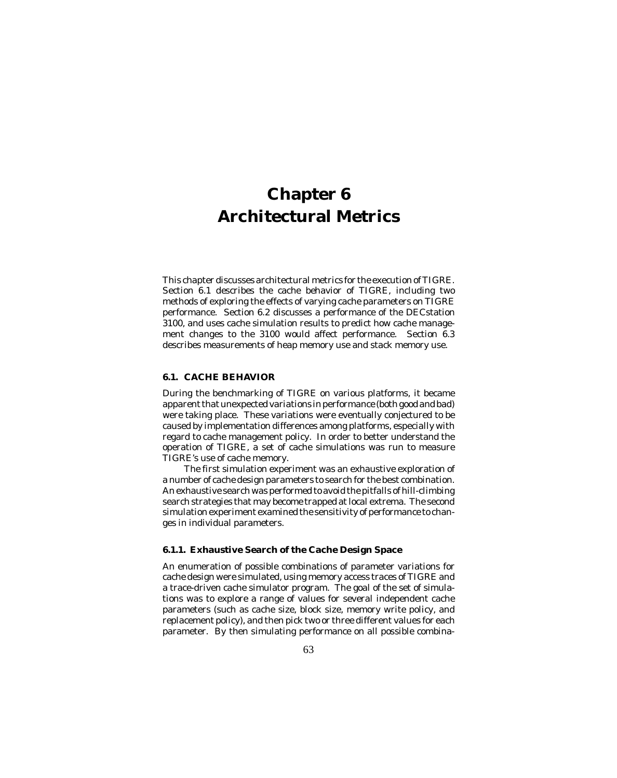This chapter discusses architectural metrics for the execution of TIGRE. Section 6.1 describes the cache behavior of TIGRE, including two methods of exploring the effects of varying cache parameters on TIGRE performance. Section 6.2 discusses a performance of the DECstation 3100, and uses cache simulation results to predict how cache management changes to the 3100 would affect performance. Section 6.3 describes measurements of heap memory use and stack memory use.

# **6.1. CACHE BEHAVIOR**

During the benchmarking of TIGRE on various platforms, it became apparent that unexpected variations in performance (both good and bad) were taking place. These variations were eventually conjectured to be caused by implementation differences among platforms, especially with regard to cache management policy. In order to better understand the operation of TIGRE, a set of cache simulations was run to measure TIGRE's use of cache memory.

The first simulation experiment was an exhaustive exploration of a number of cache design parameters to search for the best combination. An exhaustive search was performed to avoid the pitfalls of hill-climbing search strategies that may become trapped at local extrema. The second simulation experiment examined the sensitivity of performance to changes in individual parameters.

# **6.1.1. Exhaustive Search of the Cache Design Space**

An enumeration of possible combinations of parameter variations for cache design were simulated, using memory access traces of TIGRE and a trace-driven cache simulator program. The goal of the set of simulations was to explore a range of values for several independent cache parameters (such as cache size, block size, memory write policy, and replacement policy), and then pick two or three different values for each parameter. By then simulating performance on all possible combina-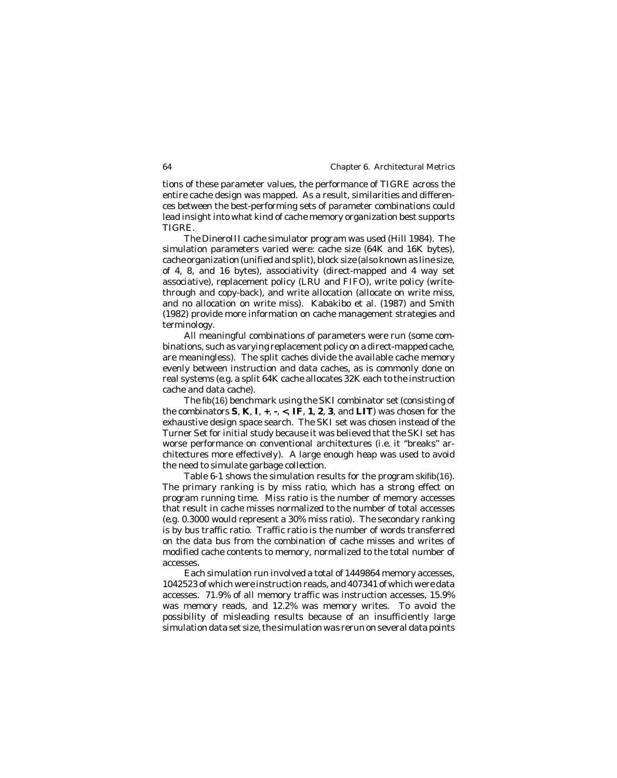tions of these parameter values, the performance of TIGRE across the entire cache design was mapped. As a result, similarities and differences between the best-performing sets of parameter combinations could lead insight into what kind of cache memory organization best supports TIGRE.

The DineroIII cache simulator program was used (Hill 1984). The simulation parameters varied were: cache size (64K and 16K bytes), cache organization (unified and split), block size (also known as line size, of 4, 8, and 16 bytes), associativity (direct-mapped and 4 way set associative), replacement policy (LRU and FIFO), write policy (writethrough and copy-back), and write allocation (allocate on write miss, and no allocation on write miss). Kabakibo et al. (1987) and Smith (1982) provide more information on cache management strategies and terminology.

All meaningful combinations of parameters were run (some combinations, such as varying replacement policy on a direct-mapped cache, are meaningless). The split caches divide the available cache memory evenly between instruction and data caches, as is commonly done on real systems (*e.g.* a split 64K cache allocates 32K each to the instruction cache and data cache).

The fib(16) benchmark using the SKI combinator set (consisting of the combinators **S**, **K**, **I**, **+**, **-**, **<**, **IF**, **1**, **2**, **3**, and **LIT**) was chosen for the exhaustive design space search. The SKI set was chosen instead of the Turner Set for initial study because it was believed that the SKI set has worse performance on conventional architectures (*i.e.* it "breaks" architectures more effectively). A large enough heap was used to avoid the need to simulate garbage collection.

Table 6-1 shows the simulation results for the program skifib(16). The primary ranking is by miss ratio, which has a strong effect on program running time. Miss ratio is the number of memory accesses that result in cache misses normalized to the number of total accesses (*e.g.* 0.3000 would represent a 30% miss ratio). The secondary ranking is by bus traffic ratio. Traffic ratio is the number of words transferred on the data bus from the combination of cache misses and writes of modified cache contents to memory, normalized to the total number of accesses.

Each simulation run involved a total of 1449864 memory accesses, 1042523 of which were instruction reads, and 407341 of which were data accesses. 71.9% of all memory traffic was instruction accesses, 15.9% was memory reads, and 12.2% was memory writes. To avoid the possibility of misleading results because of an insufficiently large simulation data set size, the simulation was rerun on several data points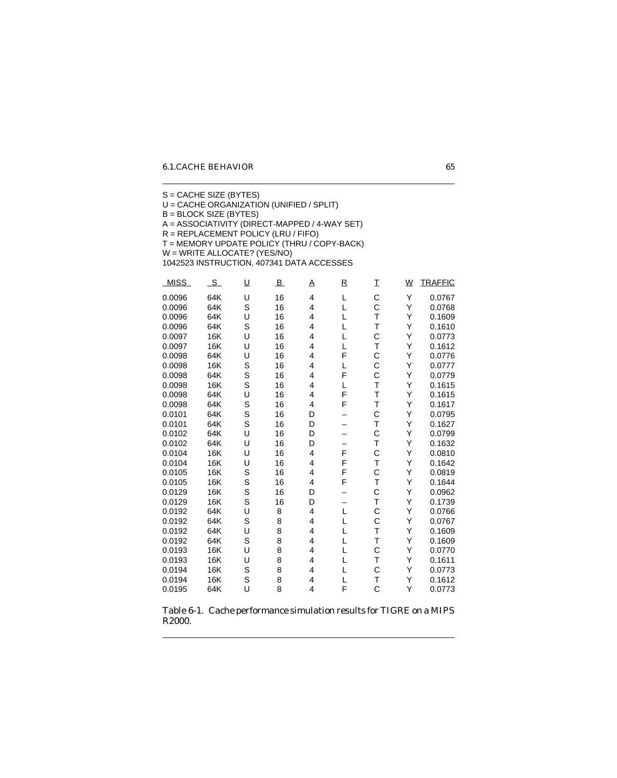S = CACHE SIZE (BYTES) U = CACHE ORGANIZATION (UNIFIED / SPLIT) B = BLOCK SIZE (BYTES) A = ASSOCIATIVITY (DIRECT-MAPPED / 4-WAY SET) R = REPLACEMENT POLICY (LRU / FIFO) T = MEMORY UPDATE POLICY (THRU / COPY-BACK) W = WRITE ALLOCATE? (YES/NO) 1042523 INSTRUCTION, 407341 DATA ACCESSES MISS SU B A R I WIRAFFIC 0.0096 64K U 16 4 L C Y 0.0767 0.0096 64K S 16 4 L C Y 0.0768 0.0096 64K U 16 4 L T Y 0.1609 0.0096 64K S 16 4 L T Y 0.1610 0.0097 16K U 16 4 L C Y 0.0773 0.0097 16K U 16 4 L T Y 0.1612 0.0098 64K U 16 4 F C Y 0.0776 0.0098 16K S 16 4 L C Y 0.0777 0.0098 64K S 16 4 F C Y 0.0779 0.0098 16K S 16 4 L T Y 0.1615 0.0098 64K U 16 4 F T Y 0.1615 0.0098 64K S 16 4 F T Y 0.1617 0.0101 64K S 16 D – C Y 0.0795 0.0101 64K S 16 D – T Y 0.1627 0.0102 64K U 16 D – C Y 0.0799 0.0102 64K U 16 D – T Y 0.1632 0.0104 16K U 16 4 F C Y 0.0810 0.0104 16K U 16 4 F T Y 0.1642 0.0105 16K S 16 4 F C Y 0.0819 0.0105 16K S 16 4 F T Y 0.1644 0.0129 16K S 16 D – C Y 0.0962 0.0129 16K S 16 D – T Y 0.1739 0.0192 64K U 8 4 L C Y 0.0766 0.0192 64K S 8 4 L C Y 0.0767 0.0192 64K U 8 4 L T Y 0.1609 0.0192 64K S 8 4 L T Y 0.1609 0.0193 16K U 8 4 L C Y 0.0770 0.0193 16K U 8 4 L T Y 0.1611 0.0194 16K S 8 4 L C Y 0.0773

Table 6-1. Cache performance simulation results for TIGRE on a MIPS R2000.

0.0194 16K S 8 4 L T Y 0.1612 0.0195 64K U 8 4 F C Y 0.0773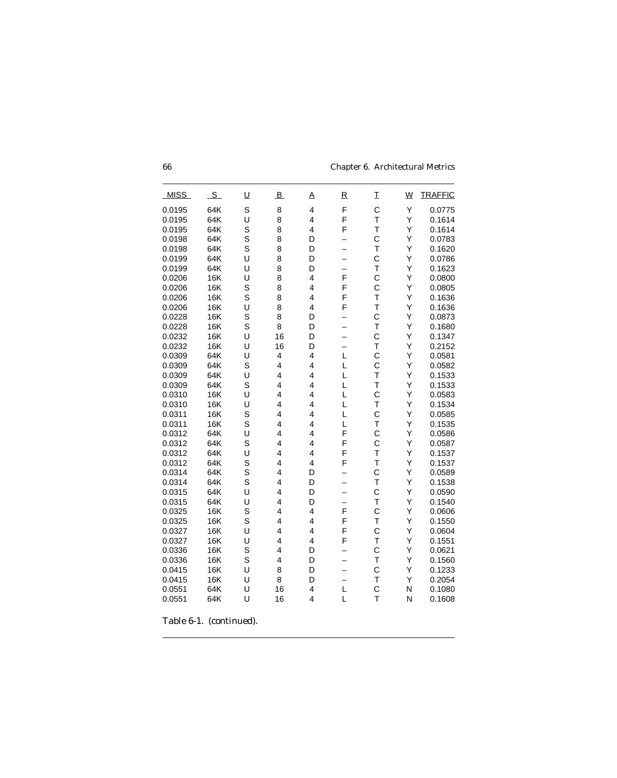| <b>MISS</b> | S          | <u>U</u> | $\overline{B}$ | A                       | $\overline{\mathsf{R}}$  | I            | $\underline{W}$ | <b>TRAFFIC</b> |
|-------------|------------|----------|----------------|-------------------------|--------------------------|--------------|-----------------|----------------|
| 0.0195      | 64K        | S        | 8              | 4                       | F                        | $\mathsf{C}$ | Υ               | 0.0775         |
| 0.0195      | 64K        | U        | 8              | 4                       | F                        | T            | Y               | 0.1614         |
| 0.0195      | 64K        | S        | 8              | 4                       | F                        | T            | Υ               | 0.1614         |
| 0.0198      | 64K        | S        | 8              | D                       |                          | C            | Υ               | 0.0783         |
| 0.0198      | 64K        | S        | 8              | D                       |                          | T            | Υ               | 0.1620         |
| 0.0199      | 64K        | U        | 8              | D                       | $\overline{\phantom{0}}$ | C            | Υ               | 0.0786         |
| 0.0199      | 64K        | U        | 8              | D                       | $\overline{\phantom{0}}$ | T            | Υ               | 0.1623         |
| 0.0206      | 16K        | U        | 8              | 4                       | F                        | $\mathsf{C}$ | Υ               | 0.0800         |
| 0.0206      | 16K        | S        | 8              | 4                       | F                        | C            | Υ               | 0.0805         |
| 0.0206      | <b>16K</b> | S        | 8              | 4                       | F                        | T            | Υ               | 0.1636         |
| 0.0206      | 16K        | U        | 8              | 4                       | F                        | T            | Υ               | 0.1636         |
| 0.0228      | 16K        | S        | 8              | D                       |                          | C            | Υ               | 0.0873         |
| 0.0228      | <b>16K</b> | S        | 8              | D                       | $\overline{\phantom{0}}$ | T            | Υ               | 0.1680         |
| 0.0232      | 16K        | U        | 16             | D                       | $\overline{\phantom{0}}$ | C            | Υ               | 0.1347         |
| 0.0232      | 16K        | U        | 16             | D                       |                          | T            | Υ               | 0.2152         |
| 0.0309      | 64K        | U        | 4              | 4                       | L                        | C            | Υ               | 0.0581         |
| 0.0309      | 64K        | S        | 4              | 4                       | L                        | C            | Υ               | 0.0582         |
| 0.0309      | 64K        | U        | 4              | 4                       | L                        | T            | Y               | 0.1533         |
| 0.0309      | 64K        | S        | $\overline{4}$ | 4                       | L                        | T            | Υ               | 0.1533         |
| 0.0310      | 16K        | U        | 4              | 4                       | L                        | C            | Υ               | 0.0583         |
| 0.0310      | 16K        | U        | 4              | 4                       | L                        | T            | Υ               | 0.1534         |
| 0.0311      | <b>16K</b> | S        | 4              | 4                       | L                        | $\mathsf{C}$ | Υ               | 0.0585         |
| 0.0311      | 16K        | S        | 4              | 4                       | L                        | T            | Υ               | 0.1535         |
| 0.0312      | 64K        | U        | 4              | 4                       | F                        | $\mathsf{C}$ | Υ               | 0.0586         |
| 0.0312      | 64K        | S        | 4              | 4                       | F                        | C            | Υ               | 0.0587         |
| 0.0312      | 64K        | U        | 4              | 4                       | F                        | T            | Υ               | 0.1537         |
| 0.0312      | 64K        | S        | 4              | 4                       | F                        | T            | Υ               | 0.1537         |
| 0.0314      | 64K        | S        | 4              | D                       |                          | C            | Υ               | 0.0589         |
| 0.0314      | 64K        | S        | 4              | D                       | $\overline{\phantom{0}}$ | T            | Υ               | 0.1538         |
| 0.0315      | 64K        | U        | 4              | D                       | $\overline{\phantom{0}}$ | C            | Υ               | 0.0590         |
| 0.0315      | 64K        | U        | 4              | D                       | $\overline{\phantom{0}}$ | T            | Υ               | 0.1540         |
| 0.0325      | 16K        | S        | 4              | 4                       | F                        | Ċ            | Υ               | 0.0606         |
| 0.0325      | 16K        | S        | 4              | 4                       | F                        | T            | Υ               | 0.1550         |
| 0.0327      | 16K        | U        | 4              | $\overline{\mathbf{4}}$ | F                        | $\mathbf C$  | Υ               | 0.0604         |
| 0.0327      | 16K        | U        | 4              | $\overline{4}$          | F                        | T            | Y               | 0.1551         |
| 0.0336      | 16K        | S        | 4              | D                       |                          | C            | Υ               | 0.0621         |
| 0.0336      | 16K        | S        | 4              | D                       |                          | T            | Υ               | 0.1560         |
| 0.0415      | 16K        | U        | 8              | D                       | $\overline{\phantom{0}}$ | C            | Υ               | 0.1233         |
| 0.0415      | 16K        | U        | 8              | D                       |                          | T            | Y               | 0.2054         |
| 0.0551      | 64K        | U        | 16             | 4                       | L                        | C            | N               | 0.1080         |
| 0.0551      | 64K        | U        | 16             | 4                       | L                        | T            | N               | 0.1608         |
|             |            |          |                |                         |                          |              |                 |                |

Table 6-1. (continued).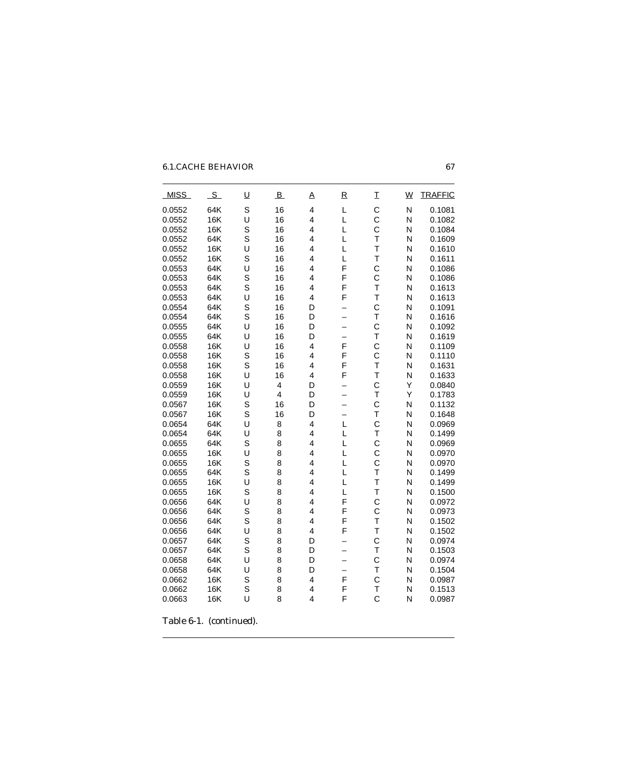| <b>MISS</b> | $\mathcal{S}$ | $\overline{\mathsf{u}}$ | $\overline{B}$ | A | $\overline{\mathsf{R}}$  | I                       | $\underline{W}$ | <b>TRAFFIC</b> |
|-------------|---------------|-------------------------|----------------|---|--------------------------|-------------------------|-----------------|----------------|
| 0.0552      | 64K           | S                       | 16             | 4 | L                        | $\mathbf C$             | N               | 0.1081         |
| 0.0552      | <b>16K</b>    | U                       | 16             | 4 | L                        | C                       | N               | 0.1082         |
| 0.0552      | 16K           | S                       | 16             | 4 | L                        | $\mathsf{C}$            | N               | 0.1084         |
| 0.0552      | 64K           | S                       | 16             | 4 | L                        | T                       | N               | 0.1609         |
| 0.0552      | <b>16K</b>    | U                       | 16             | 4 | L                        | $\overline{\mathsf{T}}$ | N               | 0.1610         |
| 0.0552      | <b>16K</b>    | S                       | 16             | 4 | L                        | $\overline{\mathsf{T}}$ | N               | 0.1611         |
| 0.0553      | 64K           | U                       | 16             | 4 | F                        | C                       | N               | 0.1086         |
| 0.0553      | 64K           | S                       | 16             | 4 | F                        | $\mathbf C$             | N               | 0.1086         |
| 0.0553      | 64K           | S                       | 16             | 4 | F                        | $\overline{\mathsf{T}}$ | N               | 0.1613         |
| 0.0553      | 64K           | U                       | 16             | 4 | F                        | $\bar{1}$               | N               | 0.1613         |
| 0.0554      | 64K           | S                       | 16             | D | $\overline{\phantom{0}}$ | $\mathbf C$             | N               | 0.1091         |
| 0.0554      | 64K           | S                       | 16             | D |                          | T                       | N               | 0.1616         |
| 0.0555      | 64K           | U                       | 16             | D |                          | $\mathbf C$             | N               | 0.1092         |
| 0.0555      | 64K           | U                       | 16             | D | $\overline{\phantom{0}}$ | T                       | N               | 0.1619         |
| 0.0558      | <b>16K</b>    | U                       | 16             | 4 | F                        | $\mathsf{C}$            | N               | 0.1109         |
| 0.0558      | 16K           | S                       | 16             | 4 | F                        | $\mathsf{C}$            | N               | 0.1110         |
| 0.0558      | 16K           | S                       | 16             | 4 | F                        | $\bar{1}$               | N               | 0.1631         |
| 0.0558      | 16K           | U                       | 16             | 4 | F                        | T                       | N               | 0.1633         |
| 0.0559      | 16K           | U                       | 4              | D |                          | $\mathbf C$             | Υ               | 0.0840         |
| 0.0559      | 16K           | U                       | $\overline{4}$ | D |                          | $\bar{1}$               | Y               | 0.1783         |
| 0.0567      | 16K           | S                       | 16             | D |                          | $\mathsf{C}$            | N               | 0.1132         |
| 0.0567      | <b>16K</b>    | S                       | 16             | D | $\overline{\phantom{0}}$ | $\overline{\mathsf{T}}$ | N               | 0.1648         |
| 0.0654      | 64K           | U                       | 8              | 4 | L                        | $\mathsf{C}$            | N               | 0.0969         |
| 0.0654      | 64K           | U                       | 8              | 4 | L                        | T                       | N               | 0.1499         |
| 0.0655      | 64K           | S                       | 8              | 4 | L                        | $\mathsf{C}$            | N               | 0.0969         |
| 0.0655      | 16K           | U                       | 8              | 4 | L                        | C                       | N               | 0.0970         |
| 0.0655      | 16K           | S                       | 8              | 4 | L                        | $\overline{C}$          | N               | 0.0970         |
| 0.0655      | 64K           | S                       | 8              | 4 | L                        | T                       | N               | 0.1499         |
| 0.0655      | <b>16K</b>    | U                       | 8              | 4 | L                        | $\overline{\mathsf{T}}$ | N               | 0.1499         |
| 0.0655      | 16K           | S                       | 8              | 4 | L                        | T                       | N               | 0.1500         |
| 0.0656      | 64K           | U                       | 8              | 4 | F                        | $\mathsf{C}$            | N               | 0.0972         |
| 0.0656      | 64K           | S                       | 8              | 4 | F                        | $\overline{C}$          | N               | 0.0973         |
| 0.0656      | 64K           | S                       | 8              | 4 | F                        | T                       | N               | 0.1502         |
| 0.0656      | 64K           | U                       | 8              | 4 | F                        | $\overline{\mathsf{T}}$ | N               | 0.1502         |
| 0.0657      | 64K           | S                       | 8              | D |                          | $\mathbf C$             | N               | 0.0974         |
| 0.0657      | 64K           | S                       | 8              | D | —                        | $\overline{T}$          | N               | 0.1503         |
| 0.0658      | 64K           | U                       | 8              | D | —                        | $\mathsf{C}$            | N               | 0.0974         |
| 0.0658      | 64K           | U                       | 8              | D |                          | T                       | N               | 0.1504         |
| 0.0662      | 16K           | S                       | 8              | 4 | F                        | $\mathsf{C}$            | N               | 0.0987         |
| 0.0662      | 16K           | S                       | 8              | 4 | F                        | T                       | Ν               | 0.1513         |
| 0.0663      | 16K           | U                       | 8              | 4 | F                        | C                       | N               | 0.0987         |
|             |               |                         |                |   |                          |                         |                 |                |

Table 6-1. (continued).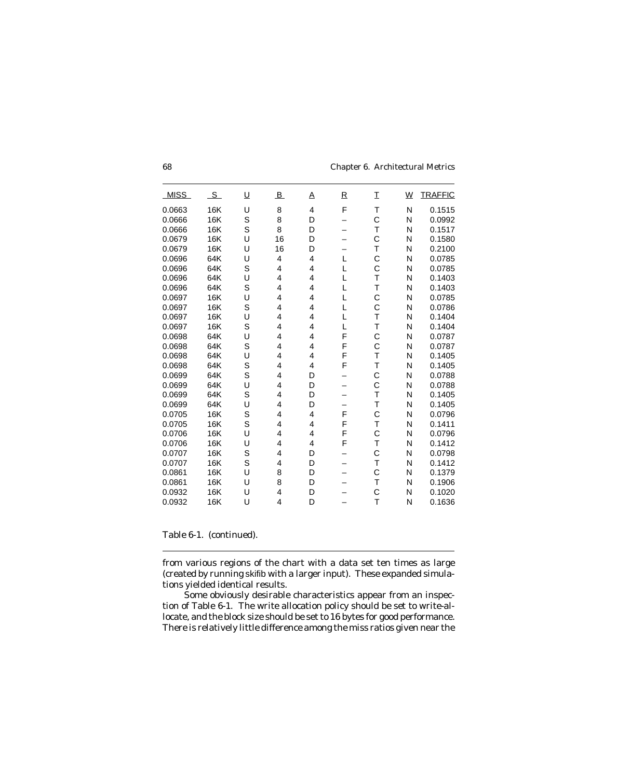| <b>MISS</b> | $S_{-}$ | <u>U</u> | B  | A | $\overline{\mathsf{R}}$ | I            | <u>W</u> | <b>TRAFFIC</b> |
|-------------|---------|----------|----|---|-------------------------|--------------|----------|----------------|
| 0.0663      | 16K     | U        | 8  | 4 | F                       | T            | N        | 0.1515         |
| 0.0666      | 16K     | S        | 8  | D |                         | C            | N        | 0.0992         |
| 0.0666      | 16K     | S        | 8  | D |                         | T            | N        | 0.1517         |
| 0.0679      | 16K     | U        | 16 | D |                         | C            | N        | 0.1580         |
| 0.0679      | 16K     | U        | 16 | D |                         | T            | N        | 0.2100         |
| 0.0696      | 64K     | U        | 4  | 4 | L                       | C            | N        | 0.0785         |
| 0.0696      | 64K     | S        | 4  | 4 | L                       | C            | N        | 0.0785         |
| 0.0696      | 64K     | U        | 4  | 4 | L                       | T            | N        | 0.1403         |
| 0.0696      | 64K     | S        | 4  | 4 | L                       | T            | N        | 0.1403         |
| 0.0697      | 16K     | U        | 4  | 4 | L                       | C            | N        | 0.0785         |
| 0.0697      | 16K     | S        | 4  | 4 | L                       | C            | N        | 0.0786         |
| 0.0697      | 16K     | U        | 4  | 4 | L                       | T            | N        | 0.1404         |
| 0.0697      | 16K     | S        | 4  | 4 | L                       | T            | N        | 0.1404         |
| 0.0698      | 64K     | U        | 4  | 4 | F                       | C            | N        | 0.0787         |
| 0.0698      | 64K     | S        | 4  | 4 | F                       | Ċ            | N        | 0.0787         |
| 0.0698      | 64K     | U        | 4  | 4 | F                       | T            | N        | 0.1405         |
| 0.0698      | 64K     | S        | 4  | 4 | F                       | T            | N        | 0.1405         |
| 0.0699      | 64K     | S        | 4  | D |                         | C            | N        | 0.0788         |
| 0.0699      | 64K     | U        | 4  | D |                         | C            | N        | 0.0788         |
| 0.0699      | 64K     | S        | 4  | D |                         | T            | N        | 0.1405         |
| 0.0699      | 64K     | U        | 4  | D |                         | $\top$       | N        | 0.1405         |
| 0.0705      | 16K     | S        | 4  | 4 | F                       | $\mathsf{C}$ | N        | 0.0796         |
| 0.0705      | 16K     | S        | 4  | 4 | F                       | T            | N        | 0.1411         |
| 0.0706      | 16K     | U        | 4  | 4 | F                       | $\mathsf{C}$ | N        | 0.0796         |
| 0.0706      | 16K     | U        | 4  | 4 | F                       | T            | N        | 0.1412         |
| 0.0707      | 16K     | S        | 4  | D |                         | C            | N        | 0.0798         |
| 0.0707      | 16K     | S        | 4  | D |                         | T            | N        | 0.1412         |
| 0.0861      | 16K     | U        | 8  | D |                         | C            | N        | 0.1379         |
| 0.0861      | 16K     | U        | 8  | D |                         | T            | N        | 0.1906         |
| 0.0932      | 16K     | U        | 4  | D |                         | C            | N        | 0.1020         |
| 0.0932      | 16K     | U        | 4  | D |                         | T            | N        | 0.1636         |
|             |         |          |    |   |                         |              |          |                |

Table 6-1. (continued).

from various regions of the chart with a data set ten times as large (created by running skifib with a larger input). These expanded simulations yielded identical results.

Some obviously desirable characteristics appear from an inspection of Table 6-1. The write allocation policy should be set to write-allocate, and the block size should be set to 16 bytes for good performance. There is relatively little difference among the miss ratios given near the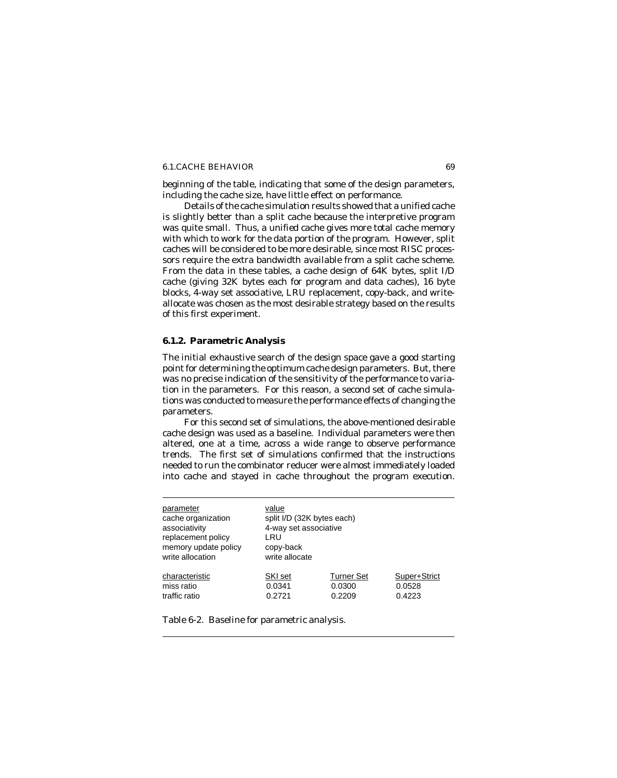beginning of the table, indicating that some of the design parameters, including the cache size, have little effect on performance.

Details of the cache simulation results showed that a unified cache is slightly better than a split cache because the interpretive program was quite small. Thus, a unified cache gives more total cache memory with which to work for the data portion of the program. However, split caches will be considered to be more desirable, since most RISC processors require the extra bandwidth available from a split cache scheme. From the data in these tables, a cache design of 64K bytes, split I/D cache (giving 32K bytes each for program and data caches), 16 byte blocks, 4-way set associative, LRU replacement, copy-back, and writeallocate was chosen as the most desirable strategy based on the results of this first experiment.

### **6.1.2. Parametric Analysis**

The initial exhaustive search of the design space gave a good starting point for determining the optimum cache design parameters. But, there was no precise indication of the sensitivity of the performance to variation in the parameters. For this reason, a second set of cache simulations was conducted to measure the performance effects of changing the parameters.

For this second set of simulations, the above-mentioned desirable cache design was used as a baseline. Individual parameters were then altered, one at a time, across a wide range to observe performance trends. The first set of simulations confirmed that the instructions needed to run the combinator reducer were almost immediately loaded into cache and stayed in cache throughout the program execution.

| parameter            | value                      |                   |              |  |
|----------------------|----------------------------|-------------------|--------------|--|
| cache organization   | split I/D (32K bytes each) |                   |              |  |
| associativity        | 4-way set associative      |                   |              |  |
| replacement policy   | LRU                        |                   |              |  |
| memory update policy | copy-back                  |                   |              |  |
| write allocation     | write allocate             |                   |              |  |
| characteristic       | SKI set                    | <b>Turner Set</b> | Super+Strict |  |
| miss ratio           | 0.0341                     | 0.0300            | 0.0528       |  |
| traffic ratio        | 0.2721                     | 0.2209            | 0.4223       |  |

Table 6-2. Baseline for parametric analysis.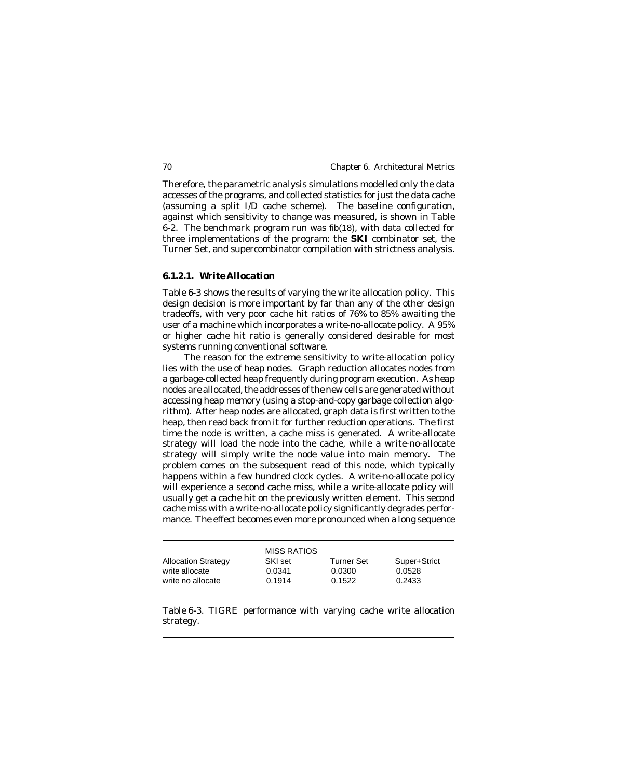Therefore, the parametric analysis simulations modelled only the data accesses of the programs, and collected statistics for just the data cache (assuming a split I/D cache scheme). The baseline configuration, against which sensitivity to change was measured, is shown in Table 6-2. The benchmark program run was fib(18), with data collected for three implementations of the program: the **SKI** combinator set, the Turner Set, and supercombinator compilation with strictness analysis.

### *6.1.2.1. Write Allocation*

Table 6-3 shows the results of varying the write allocation policy. This design decision is more important by far than any of the other design tradeoffs, with very poor cache hit ratios of 76% to 85% awaiting the user of a machine which incorporates a write-no-allocate policy. A 95% or higher cache hit ratio is generally considered desirable for most systems running conventional software.

The reason for the extreme sensitivity to write-allocation policy lies with the use of heap nodes. Graph reduction allocates nodes from a garbage-collected heap frequently during program execution. As heap nodes are allocated, the addresses of the new cells are generated without accessing heap memory (using a stop-and-copy garbage collection algorithm). After heap nodes are allocated, graph data is first written to the heap, then read back from it for further reduction operations. The first time the node is written, a cache miss is generated. A write-allocate strategy will load the node into the cache, while a write-no-allocate strategy will simply write the node value into main memory. The problem comes on the subsequent read of this node, which typically happens within a few hundred clock cycles. A write-no-allocate policy will experience a second cache miss, while a write-allocate policy will usually get a cache hit on the previously written element. This second cache miss with a write-no-allocate policy significantly degrades performance. The effect becomes even more pronounced when a long sequence

|                                     | MISS RATIOS      |                  |                  |
|-------------------------------------|------------------|------------------|------------------|
| <b>Allocation Strategy</b>          | SKI set          | Turner Set       | Super+Strict     |
| write allocate<br>write no allocate | 0.0341<br>0.1914 | 0.0300<br>0.1522 | 0.0528<br>0.2433 |

Table 6-3. TIGRE performance with varying cache write allocation strategy.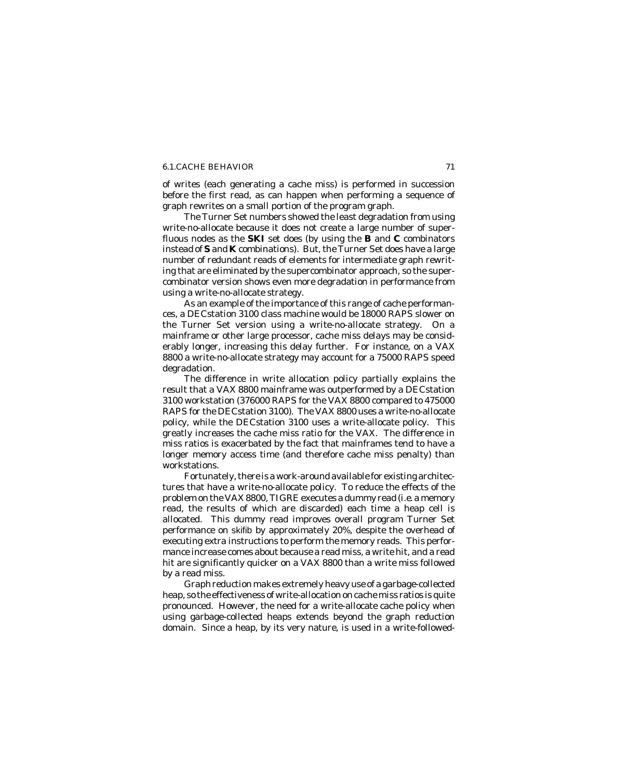of writes (each generating a cache miss) is performed in succession before the first read, as can happen when performing a sequence of graph rewrites on a small portion of the program graph.

The Turner Set numbers showed the least degradation from using write-no-allocate because it does not create a large number of superfluous nodes as the **SKI** set does (by using the **B** and **C** combinators instead of **S** and **K** combinations). But, the Turner Set does have a large number of redundant reads of elements for intermediate graph rewriting that are eliminated by the supercombinator approach, so the supercombinator version shows even more degradation in performance from using a write-no-allocate strategy.

As an example of the importance of this range of cache performances, a DECstation 3100 class machine would be 18000 RAPS slower on the Turner Set version using a write-no-allocate strategy. On a mainframe or other large processor, cache miss delays may be considerably longer, increasing this delay further. For instance, on a VAX 8800 a write-no-allocate strategy may account for a 75000 RAPS speed degradation.

The difference in write allocation policy partially explains the result that a VAX 8800 mainframe was outperformed by a DECstation 3100 workstation (376000 RAPS for the VAX 8800 compared to 475000 RAPS for the DECstation 3100). The VAX 8800 uses a write-no-allocate policy, while the DECstation 3100 uses a write-allocate policy. This greatly increases the cache miss ratio for the VAX. The difference in miss ratios is exacerbated by the fact that mainframes tend to have a longer memory access time (and therefore cache miss penalty) than workstations.

Fortunately, there is a work-around available for existing architectures that have a write-no-allocate policy. To reduce the effects of the problem on the VAX 8800, TIGRE executes a dummy read (*i.e.* a memory read, the results of which are discarded) each time a heap cell is allocated. This dummy read improves overall program Turner Set performance on skifib by approximately 20%, despite the overhead of executing extra instructions to perform the memory reads. This performance increase comes about because a read miss, a write hit, and a read hit are significantly quicker on a VAX 8800 than a write miss followed by a read miss.

Graph reduction makes extremely heavy use of a garbage-collected heap, so the effectiveness of write-allocation on cache miss ratios is quite pronounced. However, the need for a write-allocate cache policy when using garbage-collected heaps extends beyond the graph reduction domain. Since a heap, by its very nature, is used in a write-followed-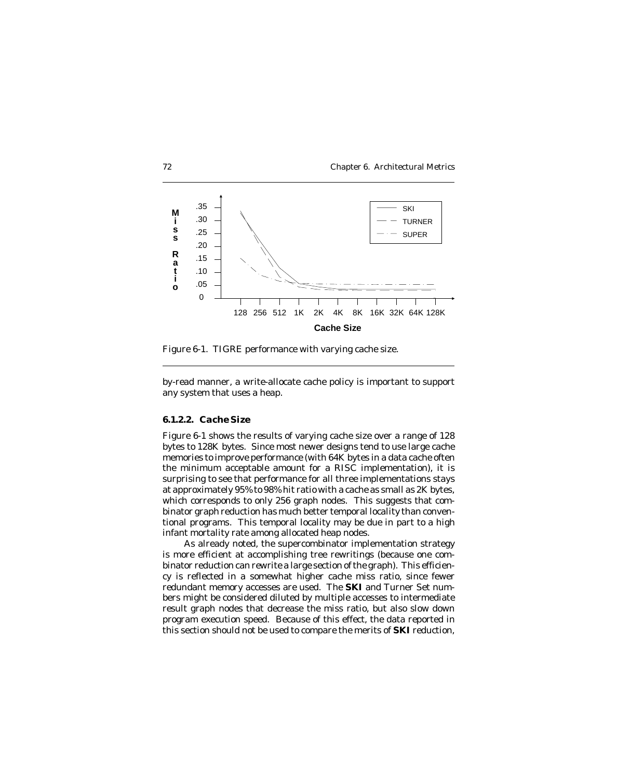



Figure 6-1. TIGRE performance with varying cache size.

by-read manner, a write-allocate cache policy is important to support any system that uses a heap.

## *6.1.2.2. Cache Size*

Figure 6-1 shows the results of varying cache size over a range of 128 bytes to 128K bytes. Since most newer designs tend to use large cache memories to improve performance (with 64K bytes in a data cache often the minimum acceptable amount for a RISC implementation), it is surprising to see that performance for all three implementations stays at approximately 95% to 98% hit ratio with a cache as small as 2K bytes, which corresponds to only 256 graph nodes. This suggests that combinator graph reduction has much better temporal locality than conventional programs. This temporal locality may be due in part to a high infant mortality rate among allocated heap nodes.

As already noted, the supercombinator implementation strategy is more efficient at accomplishing tree rewritings (because one combinator reduction can rewrite a large section of the graph). This efficiency is reflected in a somewhat higher cache miss ratio, since fewer redundant memory accesses are used. The **SKI** and Turner Set numbers might be considered diluted by multiple accesses to intermediate result graph nodes that decrease the miss ratio, but also slow down program execution speed. Because of this effect, the data reported in this section should not be used to compare the merits of **SKI** reduction,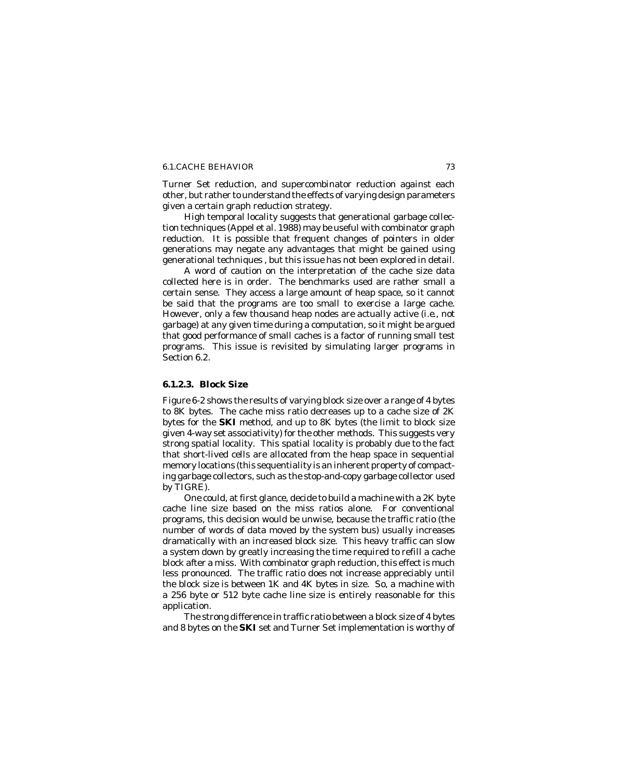Turner Set reduction, and supercombinator reduction against each other, but rather to understand the effects of varying design parameters given a certain graph reduction strategy.

High temporal locality suggests that generational garbage collection techniques (Appel et al. 1988) may be useful with combinator graph reduction. It is possible that frequent changes of pointers in older generations may negate any advantages that might be gained using generational techniques , but this issue has not been explored in detail.

A word of caution on the interpretation of the cache size data collected here is in order. The benchmarks used are rather small a certain sense. They access a large amount of heap space, so it cannot be said that the programs are too small to exercise a large cache. However, only a few thousand heap nodes are actually active (*i.e.*, not garbage) at any given time during a computation, so it might be argued that good performance of small caches is a factor of running small test programs. This issue is revisited by simulating larger programs in Section 6.2.

# *6.1.2.3. Block Size*

Figure 6-2 shows the results of varying block size over a range of 4 bytes to 8K bytes. The cache miss ratio decreases up to a cache size of 2K bytes for the **SKI** method, and up to 8K bytes (the limit to block size given 4-way set associativity) for the other methods. This suggests very strong spatial locality. This spatial locality is probably due to the fact that short-lived cells are allocated from the heap space in sequential memory locations (this sequentiality is an inherent property of compacting garbage collectors, such as the stop-and-copy garbage collector used by TIGRE).

One could, at first glance, decide to build a machine with a 2K byte cache line size based on the miss ratios alone. For conventional programs, this decision would be unwise, because the traffic ratio (the number of words of data moved by the system bus) usually increases dramatically with an increased block size. This heavy traffic can slow a system down by greatly increasing the time required to refill a cache block after a miss. With combinator graph reduction, this effect is much less pronounced. The traffic ratio does not increase appreciably until the block size is between 1K and 4K bytes in size. So, a machine with a 256 byte or 512 byte cache line size is entirely reasonable for this application.

The strong difference in traffic ratio between a block size of 4 bytes and 8 bytes on the **SKI** set and Turner Set implementation is worthy of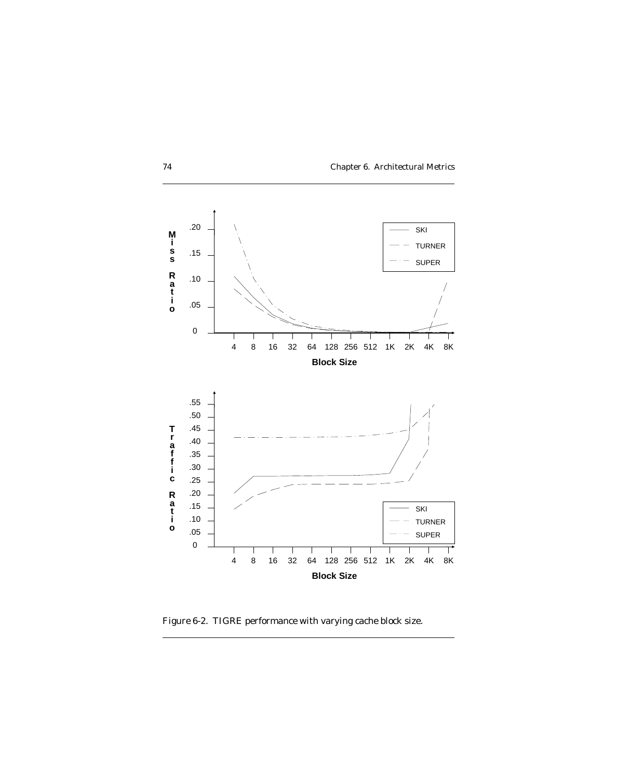



Figure 6-2. TIGRE performance with varying cache block size.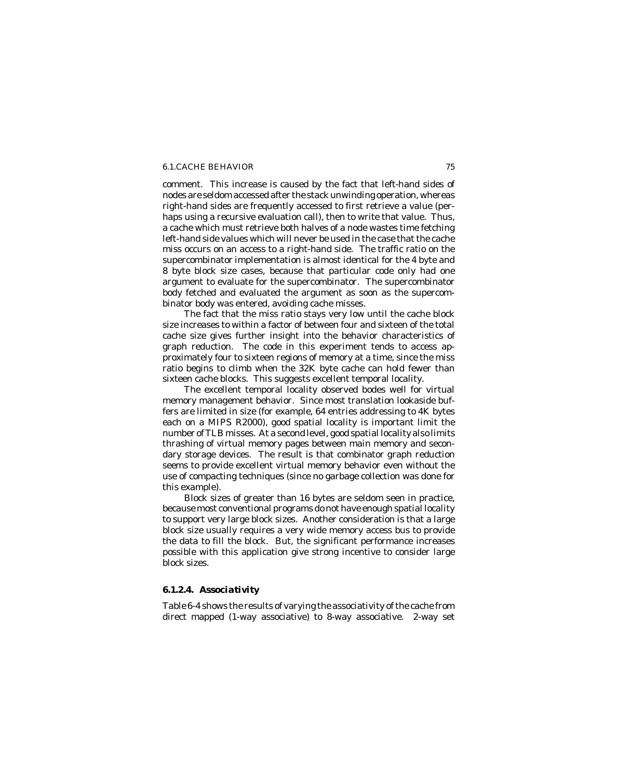comment. This increase is caused by the fact that left-hand sides of nodes are seldom accessed after the stack unwinding operation, whereas right-hand sides are frequently accessed to first retrieve a value (perhaps using a recursive evaluation call), then to write that value. Thus, a cache which must retrieve both halves of a node wastes time fetching left-hand side values which will never be used in the case that the cache miss occurs on an access to a right-hand side. The traffic ratio on the supercombinator implementation is almost identical for the 4 byte and 8 byte block size cases, because that particular code only had one argument to evaluate for the supercombinator. The supercombinator body fetched and evaluated the argument as soon as the supercombinator body was entered, avoiding cache misses.

The fact that the miss ratio stays very low until the cache block size increases to within a factor of between four and sixteen of the total cache size gives further insight into the behavior characteristics of graph reduction. The code in this experiment tends to access approximately four to sixteen regions of memory at a time, since the miss ratio begins to climb when the 32K byte cache can hold fewer than sixteen cache blocks. This suggests excellent temporal locality.

The excellent temporal locality observed bodes well for virtual memory management behavior. Since most translation lookaside buffers are limited in size (for example, 64 entries addressing to 4K bytes each on a MIPS R2000), good spatial locality is important limit the number of TLB misses. At a second level, good spatial locality also limits thrashing of virtual memory pages between main memory and secondary storage devices. The result is that combinator graph reduction seems to provide excellent virtual memory behavior even without the use of compacting techniques (since no garbage collection was done for this example).

Block sizes of greater than 16 bytes are seldom seen in practice, because most conventional programs do not have enough spatial locality to support very large block sizes. Another consideration is that a large block size usually requires a very wide memory access bus to provide the data to fill the block. But, the significant performance increases possible with this application give strong incentive to consider large block sizes.

# *6.1.2.4. Associativity*

Table 6-4 shows the results of varying the associativity of the cache from direct mapped (1-way associative) to 8-way associative. 2-way set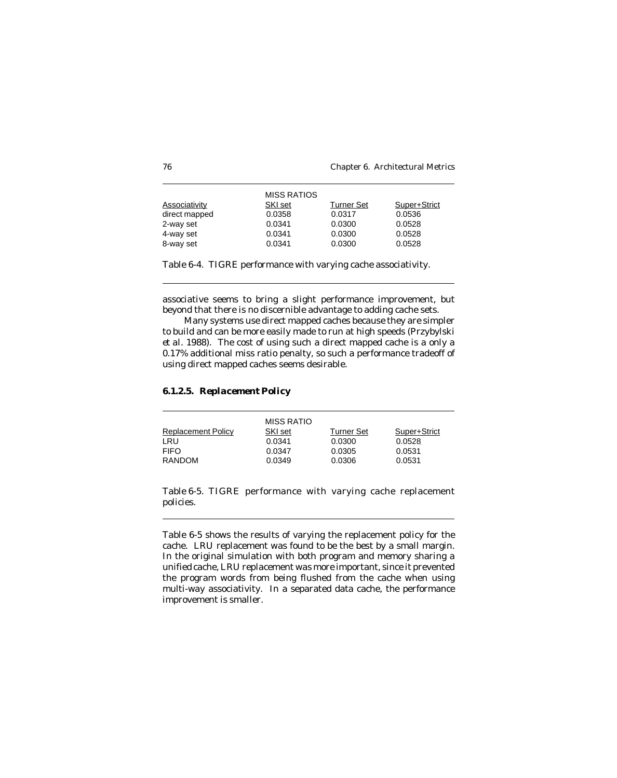| <b>Associativity</b> | <b>MISS RATIOS</b><br>SKI set | <b>Turner Set</b> | Super+Strict |
|----------------------|-------------------------------|-------------------|--------------|
| direct mapped        | 0.0358                        | 0.0317            | 0.0536       |
| 2-way set            | 0.0341                        | 0.0300            | 0.0528       |
| 4-way set            | 0.0341                        | 0.0300            | 0.0528       |
| 8-way set            | 0.0341                        | 0.0300            | 0.0528       |

Table 6-4. TIGRE performance with varying cache associativity.

associative seems to bring a slight performance improvement, but beyond that there is no discernible advantage to adding cache sets.

Many systems use direct mapped caches because they are simpler to build and can be more easily made to run at high speeds (Przybylski *et al.* 1988). The cost of using such a direct mapped cache is a only a 0.17% additional miss ratio penalty, so such a performance tradeoff of using direct mapped caches seems desirable.

*6.1.2.5. Replacement Policy*

| <b>Replacement Policy</b><br>LRU<br><b>FIFO</b> | <b>MISS RATIO</b><br>SKI set<br>0.0341<br>0.0347 | <b>Turner Set</b><br>0.0300<br>0.0305 | Super+Strict<br>0.0528<br>0.0531 |
|-------------------------------------------------|--------------------------------------------------|---------------------------------------|----------------------------------|
| RANDOM                                          | 0.0349                                           | 0.0306                                | 0.0531                           |

Table 6-5. TIGRE performance with varying cache replacement policies.

Table 6-5 shows the results of varying the replacement policy for the cache. LRU replacement was found to be the best by a small margin. In the original simulation with both program and memory sharing a unified cache, LRU replacement was more important, since it prevented the program words from being flushed from the cache when using multi-way associativity. In a separated data cache, the performance improvement is smaller.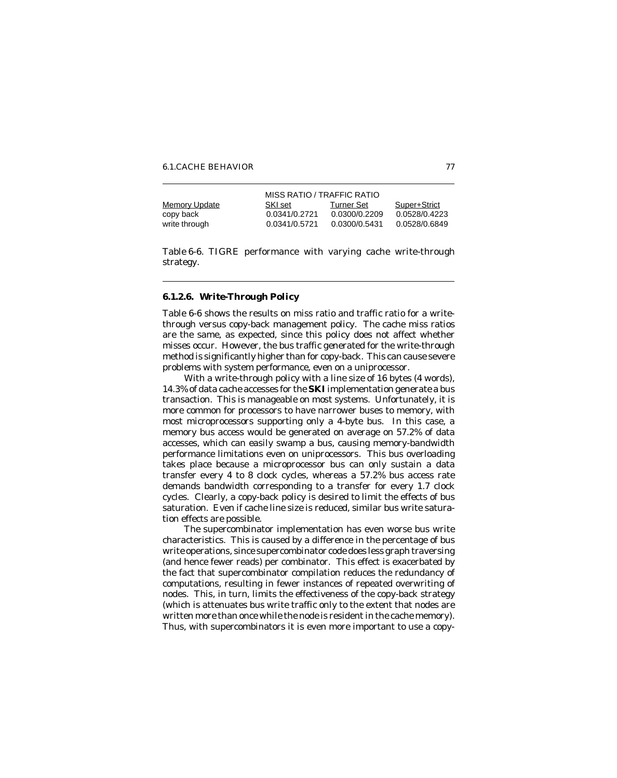|               | MISS RATIO / TRAFFIC RATIO |               |               |  |  |  |  |
|---------------|----------------------------|---------------|---------------|--|--|--|--|
| Memory Update | SKI set                    | Turner Set    | Super+Strict  |  |  |  |  |
| copy back     | 0.0341/0.2721              | 0.0300/0.2209 | 0.0528/0.4223 |  |  |  |  |
| write through | 0.0341/0.5721              | 0.0300/0.5431 | 0.0528/0.6849 |  |  |  |  |

Table 6-6. TIGRE performance with varying cache write-through strategy.

# *6.1.2.6. Write-Through Policy*

Table 6-6 shows the results on miss ratio and traffic ratio for a writethrough versus copy-back management policy. The cache miss ratios are the same, as expected, since this policy does not affect whether misses occur. However, the bus traffic generated for the write-through method is significantly higher than for copy-back. This can cause severe problems with system performance, even on a uniprocessor.

With a write-through policy with a line size of 16 bytes (4 words), 14.3% of data cache accesses for the **SKI** implementation generate a bus transaction. This is manageable on most systems. Unfortunately, it is more common for processors to have narrower buses to memory, with most microprocessors supporting only a 4-byte bus. In this case, a memory bus access would be generated on average on 57.2% of data accesses, which can easily swamp a bus, causing memory-bandwidth performance limitations even on uniprocessors. This bus overloading takes place because a microprocessor bus can only sustain a data transfer every 4 to 8 clock cycles, whereas a 57.2% bus access rate demands bandwidth corresponding to a transfer for every 1.7 clock cycles. Clearly, a copy-back policy is desired to limit the effects of bus saturation. Even if cache line size is reduced, similar bus write saturation effects are possible.

The supercombinator implementation has even worse bus write characteristics. This is caused by a difference in the percentage of bus write operations, since supercombinator code does less graph traversing (and hence fewer reads) per combinator. This effect is exacerbated by the fact that supercombinator compilation reduces the redundancy of computations, resulting in fewer instances of repeated overwriting of nodes. This, in turn, limits the effectiveness of the copy-back strategy (which is attenuates bus write traffic only to the extent that nodes are written more than once while the node is resident in the cache memory). Thus, with supercombinators it is even more important to use a copy-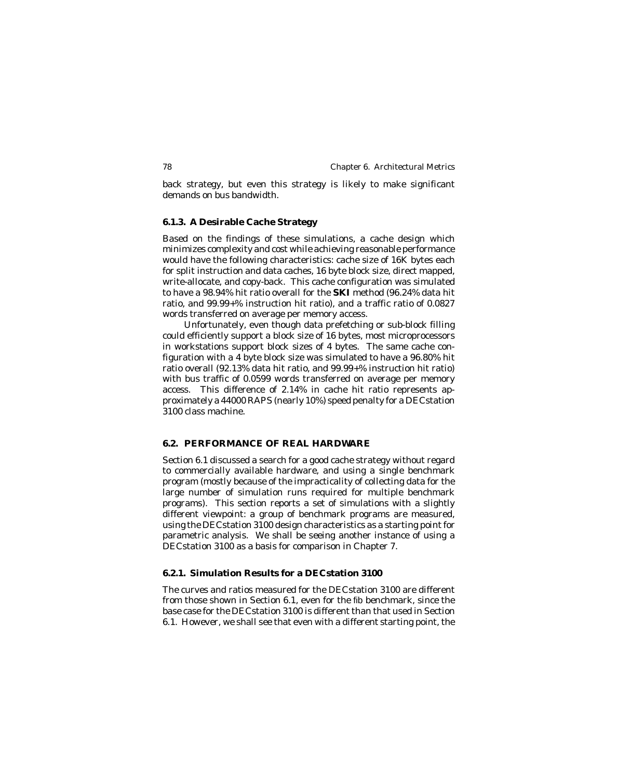back strategy, but even this strategy is likely to make significant demands on bus bandwidth.

## **6.1.3. A Desirable Cache Strategy**

Based on the findings of these simulations, a cache design which minimizes complexity and cost while achieving reasonable performance would have the following characteristics: cache size of 16K bytes each for split instruction and data caches, 16 byte block size, direct mapped, write-allocate, and copy-back. This cache configuration was simulated to have a 98.94% hit ratio overall for the **SKI** method (96.24% data hit ratio, and 99.99+% instruction hit ratio), and a traffic ratio of 0.0827 words transferred on average per memory access.

Unfortunately, even though data prefetching or sub-block filling could efficiently support a block size of 16 bytes, most microprocessors in workstations support block sizes of 4 bytes. The same cache configuration with a 4 byte block size was simulated to have a 96.80% hit ratio overall (92.13% data hit ratio, and 99.99+% instruction hit ratio) with bus traffic of 0.0599 words transferred on average per memory access. This difference of 2.14% in cache hit ratio represents approximately a 44000 RAPS (nearly 10%) speed penalty for a DECstation 3100 class machine.

# **6.2. PERFORMANCE OF REAL HARDWARE**

Section 6.1 discussed a search for a good cache strategy without regard to commercially available hardware, and using a single benchmark program (mostly because of the impracticality of collecting data for the large number of simulation runs required for multiple benchmark programs). This section reports a set of simulations with a slightly different viewpoint: a group of benchmark programs are measured, using the DECstation 3100 design characteristics as a starting point for parametric analysis. We shall be seeing another instance of using a DECstation 3100 as a basis for comparison in Chapter 7.

# **6.2.1. Simulation Results for a DECstation 3100**

The curves and ratios measured for the DECstation 3100 are different from those shown in Section 6.1, even for the fib benchmark, since the base case for the DECstation 3100 is different than that used in Section 6.1. However, we shall see that even with a different starting point, the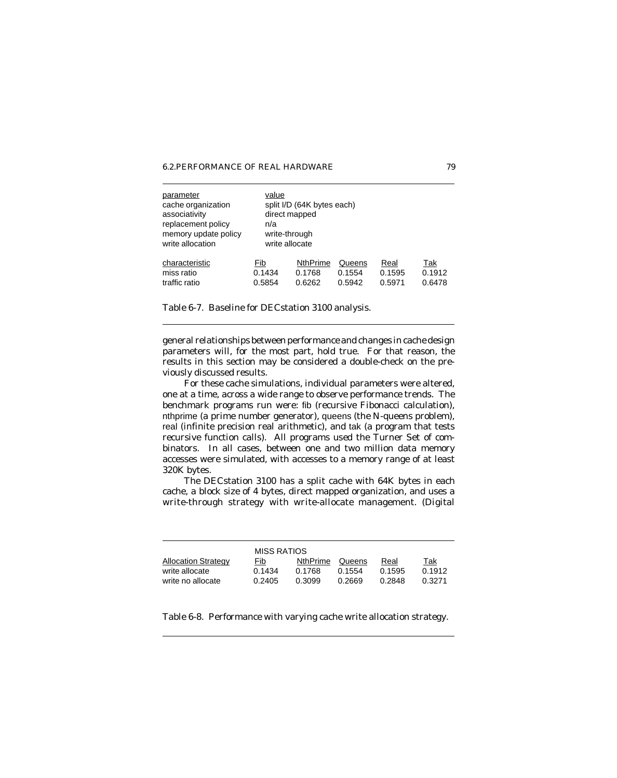6.2. PERFORMANCE OF REAL HARDWARE 79

| parameter<br>cache organization<br>associativity<br>replacement policy<br>memory update policy<br>write allocation | value<br>n/a | split I/D (64K bytes each)<br>direct mapped<br>write-through<br>write allocate |        |        |        |  |
|--------------------------------------------------------------------------------------------------------------------|--------------|--------------------------------------------------------------------------------|--------|--------|--------|--|
| characteristic                                                                                                     | Fib          | <b>NthPrime</b>                                                                | Queens | Real   | Tak    |  |
| miss ratio                                                                                                         | 0.1434       | 0.1768                                                                         | 0.1554 | 0.1595 | 0.1912 |  |
| traffic ratio                                                                                                      | 0.5854       | 0.6262                                                                         | 0.5942 | 0.5971 | 0.6478 |  |

Table 6-7. Baseline for DECstation 3100 analysis.

general relationships between performance and changes in cache design parameters will, for the most part, hold true. For that reason, the results in this section may be considered a double-check on the previously discussed results.

For these cache simulations, individual parameters were altered, one at a time, across a wide range to observe performance trends. The benchmark programs run were: fib (recursive Fibonacci calculation), nthprime (a prime number generator), queens (the N-queens problem), real (infinite precision real arithmetic), and tak (a program that tests recursive function calls). All programs used the Turner Set of combinators. In all cases, between one and two million data memory accesses were simulated, with accesses to a memory range of at least 320K bytes.

The DECstation 3100 has a split cache with 64K bytes in each cache, a block size of 4 bytes, direct mapped organization, and uses a write-through strategy with write-allocate management. (Digital

|                            | MISS RATIOS |          |        |        |        |
|----------------------------|-------------|----------|--------|--------|--------|
| <b>Allocation Strategy</b> | Fib         | NthPrime | Queens | Real   | Tak    |
| write allocate             | 0.1434      | 0.1768   | 0.1554 | 0.1595 | 0.1912 |
| write no allocate          | 0.2405      | 0.3099   | 0.2669 | 0.2848 | 0.3271 |

Table 6-8. Performance with varying cache write allocation strategy.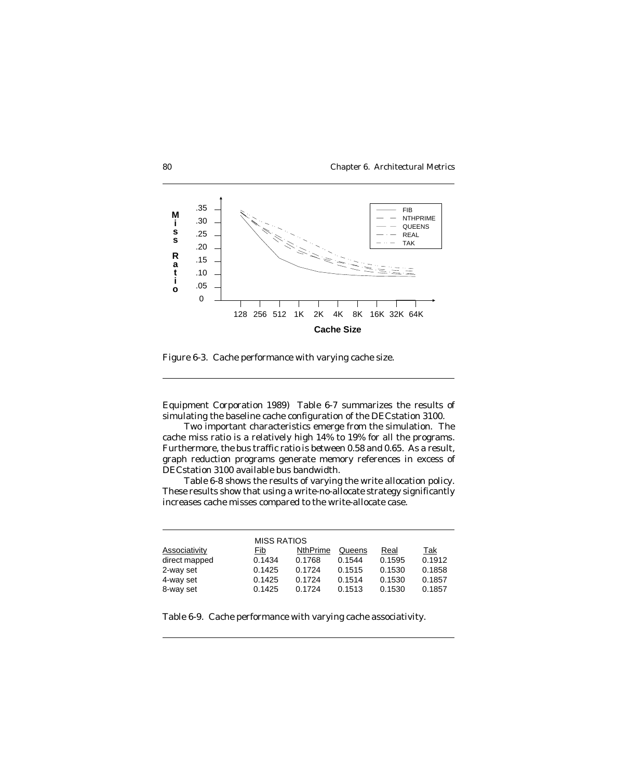



Figure 6-3. Cache performance with varying cache size.

Equipment Corporation 1989) Table 6-7 summarizes the results of simulating the baseline cache configuration of the DECstation 3100.

Two important characteristics emerge from the simulation. The cache miss ratio is a relatively high 14% to 19% for all the programs. Furthermore, the bus traffic ratio is between 0.58 and 0.65. As a result, graph reduction programs generate memory references in excess of DECstation 3100 available bus bandwidth.

Table 6-8 shows the results of varying the write allocation policy. These results show that using a write-no-allocate strategy significantly increases cache misses compared to the write-allocate case.

|                      | <b>MISS RATIOS</b> |                 |        |        |        |
|----------------------|--------------------|-----------------|--------|--------|--------|
| <b>Associativity</b> | Fib                | <b>NthPrime</b> | Queens | Real   | Tak    |
| direct mapped        | 0.1434             | 0.1768          | 0.1544 | 0.1595 | 0.1912 |
| 2-way set            | 0.1425             | 0.1724          | 0.1515 | 0.1530 | 0.1858 |
| 4-way set            | 0.1425             | 0.1724          | 0.1514 | 0.1530 | 0.1857 |
| 8-way set            | 0.1425             | 0.1724          | 0.1513 | 0.1530 | 0.1857 |

Table 6-9. Cache performance with varying cache associativity.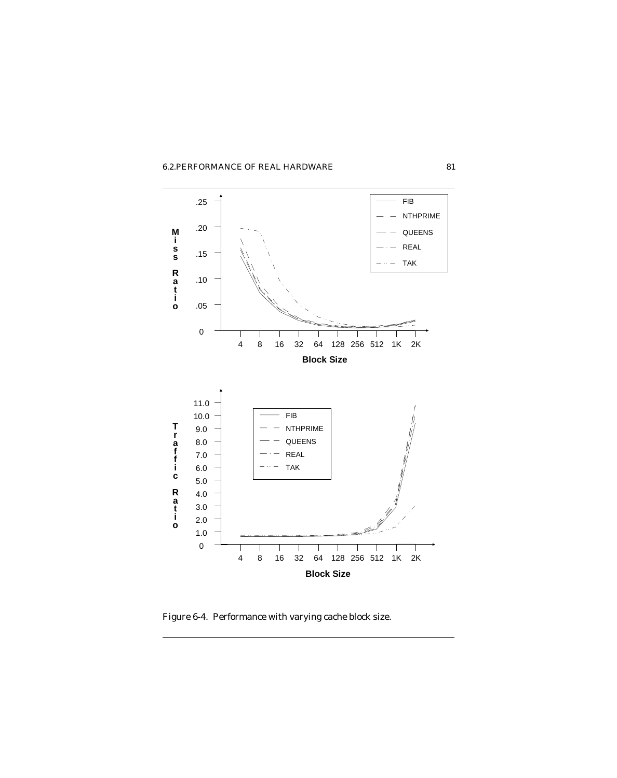# 6.2. PERFORMANCE OF REAL HARDWARE 81

![](_page_18_Figure_1.jpeg)

Figure 6-4. Performance with varying cache block size.

![](_page_18_Figure_3.jpeg)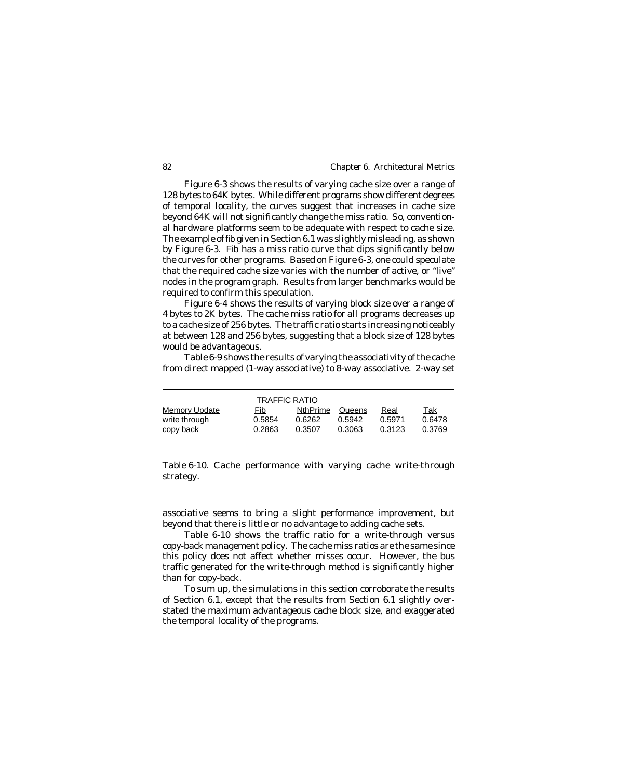Figure 6-3 shows the results of varying cache size over a range of 128 bytes to 64K bytes. While different programs show different degrees of temporal locality, the curves suggest that increases in cache size beyond 64K will not significantly change the miss ratio. So, conventional hardware platforms seem to be adequate with respect to cache size. The example of fib given in Section 6.1 was slightly misleading, as shown by Figure 6-3. Fib has a miss ratio curve that dips significantly below the curves for other programs. Based on Figure 6-3, one could speculate that the required cache size varies with the number of active, or "live" nodes in the program graph. Results from larger benchmarks would be required to confirm this speculation.

Figure 6-4 shows the results of varying block size over a range of 4 bytes to 2K bytes. The cache miss ratio for all programs decreases up to a cache size of 256 bytes. The traffic ratio starts increasing noticeably at between 128 and 256 bytes, suggesting that a block size of 128 bytes would be advantageous.

Table 6-9 shows the results of varying the associativity of the cache from direct mapped (1-way associative) to 8-way associative. 2-way set

|                      | <b>TRAFFIC RATIO</b> |                 |        |        |        |
|----------------------|----------------------|-----------------|--------|--------|--------|
| <b>Memory Update</b> | Fib                  | <b>NthPrime</b> | Queens | Real   | Tak    |
| write through        | 0.5854               | 0.6262          | 0.5942 | 0.5971 | 0.6478 |
| copy back            | 0.2863               | 0.3507          | 0.3063 | 0.3123 | 0.3769 |

Table 6-10. Cache performance with varying cache write-through strategy.

associative seems to bring a slight performance improvement, but beyond that there is little or no advantage to adding cache sets.

Table 6-10 shows the traffic ratio for a write-through versus copy-back management policy. The cache miss ratios are the same since this policy does not affect whether misses occur. However, the bus traffic generated for the write-through method is significantly higher than for copy-back.

To sum up, the simulations in this section corroborate the results of Section 6.1, except that the results from Section 6.1 slightly overstated the maximum advantageous cache block size, and exaggerated the temporal locality of the programs.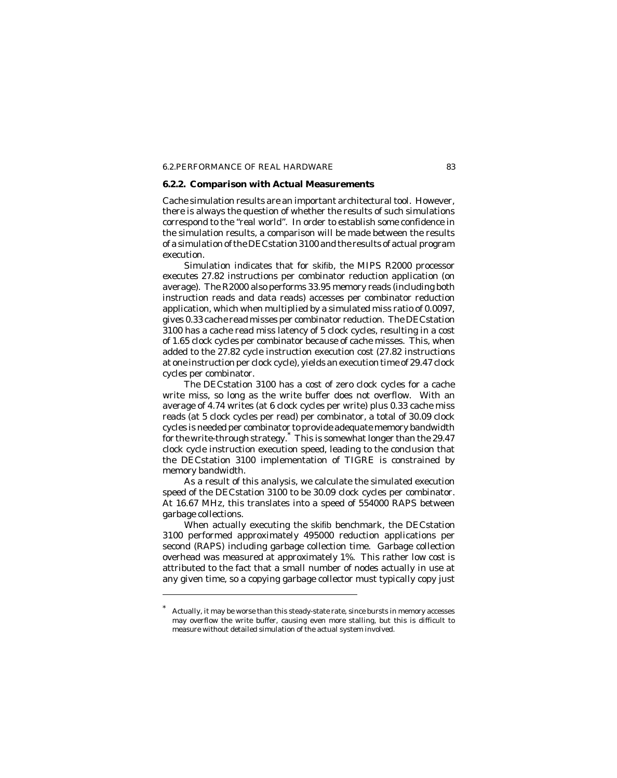# 6.2. PERFORMANCE OF REAL HARDWARE 83

# **6.2.2. Comparison with Actual Measurements**

Cache simulation results are an important architectural tool. However, there is always the question of whether the results of such simulations correspond to the "real world". In order to establish some confidence in the simulation results, a comparison will be made between the results of a simulation of the DECstation 3100 and the results of actual program execution.

Simulation indicates that for skifib, the MIPS R2000 processor executes 27.82 instructions per combinator reduction application (on average). The R2000 also performs 33.95 memory reads (including both instruction reads and data reads) accesses per combinator reduction application, which when multiplied by a simulated miss ratio of 0.0097, gives 0.33 cache read misses per combinator reduction. The DECstation 3100 has a cache read miss latency of 5 clock cycles, resulting in a cost of 1.65 clock cycles per combinator because of cache misses. This, when added to the 27.82 cycle instruction execution cost (27.82 instructions at one instruction per clock cycle), yields an execution time of 29.47 clock cycles per combinator.

The DECstation 3100 has a cost of zero clock cycles for a cache write miss, so long as the write buffer does not overflow. With an average of 4.74 writes (at 6 clock cycles per write) plus 0.33 cache miss reads (at 5 clock cycles per read) per combinator, a total of 30.09 clock cycles is needed per combinator to provide adequate memory bandwidth for the write-through strategy.\* This is somewhat longer than the 29.47 clock cycle instruction execution speed, leading to the conclusion that the DECstation 3100 implementation of TIGRE is constrained by memory bandwidth.

As a result of this analysis, we calculate the simulated execution speed of the DECstation 3100 to be 30.09 clock cycles per combinator. At 16.67 MHz, this translates into a speed of 554000 RAPS between garbage collections.

When actually executing the skifib benchmark, the DECstation 3100 performed approximately 495000 reduction applications per second (RAPS) including garbage collection time. Garbage collection overhead was measured at approximately 1%. This rather low cost is attributed to the fact that a small number of nodes actually in use at any given time, so a copying garbage collector must typically copy just

Actually, it may be worse than this steady-state rate, since bursts in memory accesses may overflow the write buffer, causing even more stalling, but this is difficult to measure without detailed simulation of the actual system involved.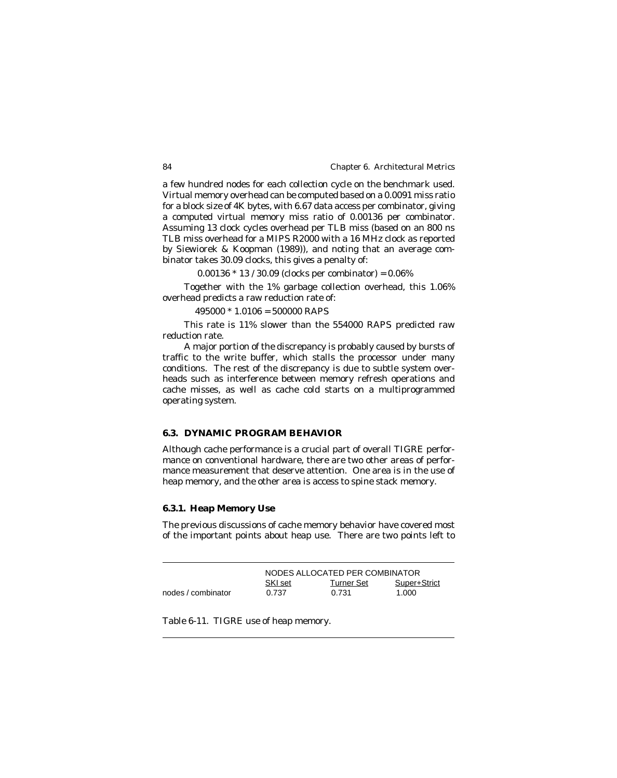a few hundred nodes for each collection cycle on the benchmark used. Virtual memory overhead can be computed based on a 0.0091 miss ratio for a block size of 4K bytes, with 6.67 data access per combinator, giving a computed virtual memory miss ratio of 0.00136 per combinator. Assuming 13 clock cycles overhead per TLB miss (based on an 800 ns TLB miss overhead for a MIPS R2000 with a 16 MHz clock as reported by Siewiorek & Koopman (1989)), and noting that an average combinator takes 30.09 clocks, this gives a penalty of:

 $0.00136 * 13 / 30.09$  (clocks per combinator) =  $0.06\%$ 

Together with the 1% garbage collection overhead, this 1.06% overhead predicts a raw reduction rate of:

 $495000 * 1.0106 = 500000$  RAPS

This rate is 11% slower than the 554000 RAPS predicted raw reduction rate.

A major portion of the discrepancy is probably caused by bursts of traffic to the write buffer, which stalls the processor under many conditions. The rest of the discrepancy is due to subtle system overheads such as interference between memory refresh operations and cache misses, as well as cache cold starts on a multiprogrammed operating system.

# **6.3. DYNAMIC PROGRAM BEHAVIOR**

Although cache performance is a crucial part of overall TIGRE performance on conventional hardware, there are two other areas of performance measurement that deserve attention. One area is in the use of heap memory, and the other area is access to spine stack memory.

# **6.3.1. Heap Memory Use**

The previous discussions of cache memory behavior have covered most of the important points about heap use. There are two points left to

|                    | NODES ALLOCATED PER COMBINATOR |            |              |
|--------------------|--------------------------------|------------|--------------|
|                    | SKI set                        | Turner Set | Super+Strict |
| nodes / combinator | 0.737                          | 0.731      | 1.000        |

Table 6-11. TIGRE use of heap memory.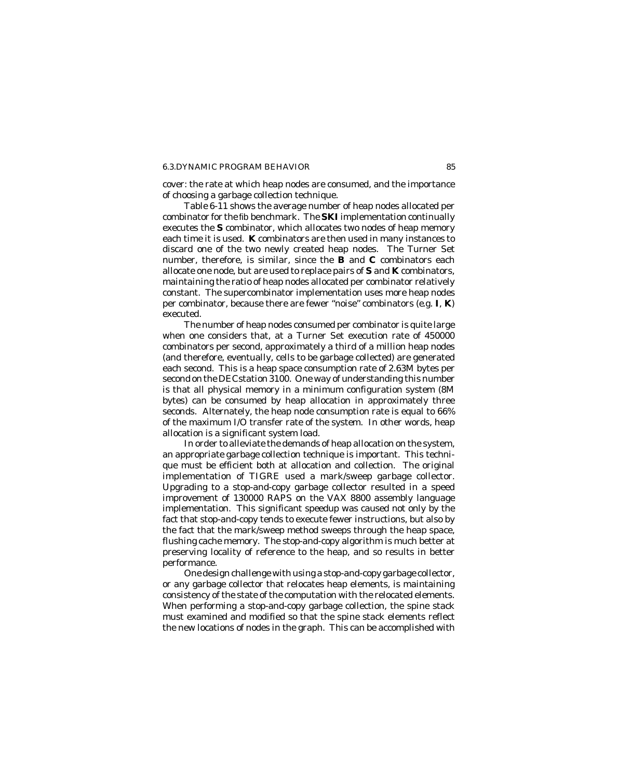### 6.3.DYNAMIC PROGRAM BEHAVIOR 85

cover: the rate at which heap nodes are consumed, and the importance of choosing a garbage collection technique.

Table 6-11 shows the average number of heap nodes allocated per combinator for the fib benchmark. The **SKI** implementation continually executes the **S** combinator, which allocates two nodes of heap memory each time it is used. **K** combinators are then used in many instances to discard one of the two newly created heap nodes. The Turner Set number, therefore, is similar, since the **B** and **C** combinators each allocate one node, but are used to replace pairs of **S** and **K** combinators, maintaining the ratio of heap nodes allocated per combinator relatively constant. The supercombinator implementation uses more heap nodes per combinator, because there are fewer "noise" combinators (*e.g.* **I**, **K**) executed.

The number of heap nodes consumed per combinator is quite large when one considers that, at a Turner Set execution rate of 450000 combinators per second, approximately a third of a million heap nodes (and therefore, eventually, cells to be garbage collected) are generated each second. This is a heap space consumption rate of 2.63M bytes per second on the DECstation 3100. One way of understanding this number is that all physical memory in a minimum configuration system (8M bytes) can be consumed by heap allocation in approximately three seconds. Alternately, the heap node consumption rate is equal to 66% of the maximum I/O transfer rate of the system. In other words, heap allocation is a significant system load.

In order to alleviate the demands of heap allocation on the system, an appropriate garbage collection technique is important. This technique must be efficient both at allocation and collection. The original implementation of TIGRE used a mark/sweep garbage collector. Upgrading to a stop-and-copy garbage collector resulted in a speed improvement of 130000 RAPS on the VAX 8800 assembly language implementation. This significant speedup was caused not only by the fact that stop-and-copy tends to execute fewer instructions, but also by the fact that the mark/sweep method sweeps through the heap space, flushing cache memory. The stop-and-copy algorithm is much better at preserving locality of reference to the heap, and so results in better performance.

One design challenge with using a stop-and-copy garbage collector, or any garbage collector that relocates heap elements, is maintaining consistency of the state of the computation with the relocated elements. When performing a stop-and-copy garbage collection, the spine stack must examined and modified so that the spine stack elements reflect the new locations of nodes in the graph. This can be accomplished with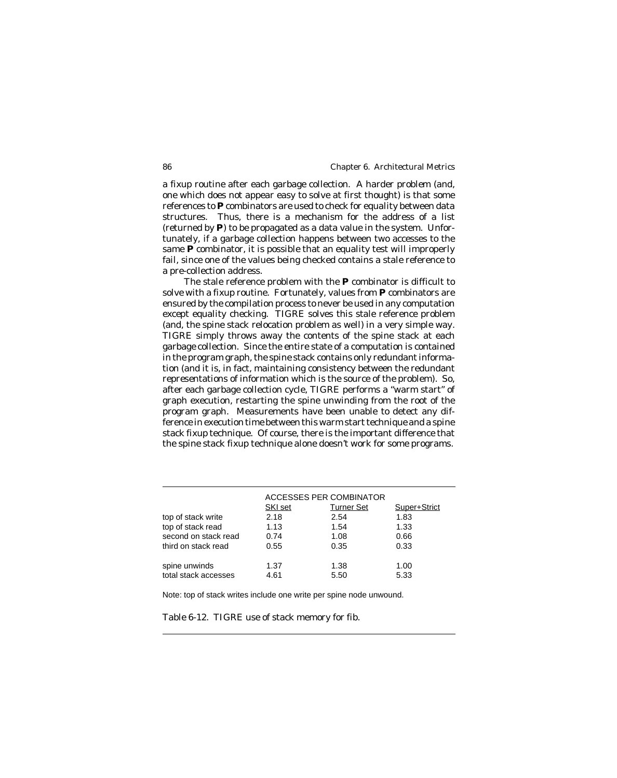a fixup routine after each garbage collection. A harder problem (and, one which does not appear easy to solve at first thought) is that some references to **P** combinators are used to check for equality between data structures. Thus, there is a mechanism for the address of a list (returned by **P**) to be propagated as a data value in the system. Unfortunately, if a garbage collection happens between two accesses to the same **P** combinator, it is possible that an equality test will improperly fail, since one of the values being checked contains a stale reference to a pre-collection address.

The stale reference problem with the **P** combinator is difficult to solve with a fixup routine. Fortunately, values from **P** combinators are ensured by the compilation process to never be used in any computation except equality checking. TIGRE solves this stale reference problem (and, the spine stack relocation problem as well) in a very simple way. TIGRE simply throws away the contents of the spine stack at each garbage collection. Since the entire state of a computation is contained in the program graph, the spine stack contains only redundant information (and it is, in fact, maintaining consistency between the redundant representations of information which is the source of the problem). So, after each garbage collection cycle, TIGRE performs a "warm start" of graph execution, restarting the spine unwinding from the root of the program graph. Measurements have been unable to detect any difference in execution time between this warm start technique and a spine stack fixup technique. Of course, there is the important difference that the spine stack fixup technique alone doesn't work for some programs.

|                      | <b>ACCESSES PER COMBINATOR</b> |                   |              |  |
|----------------------|--------------------------------|-------------------|--------------|--|
|                      | SKI set                        | <b>Turner Set</b> | Super+Strict |  |
| top of stack write   | 2.18                           | 2.54              | 1.83         |  |
| top of stack read    | 1.13                           | 1.54              | 1.33         |  |
| second on stack read | 0.74                           | 1.08              | 0.66         |  |
| third on stack read  | 0.55                           | 0.35              | 0.33         |  |
|                      |                                |                   |              |  |
| spine unwinds        | 1.37                           | 1.38              | 1.00         |  |
| total stack accesses | 4.61                           | 5.50              | 5.33         |  |

Note: top of stack writes include one write per spine node unwound.

Table 6-12. TIGRE use of stack memory for fib.